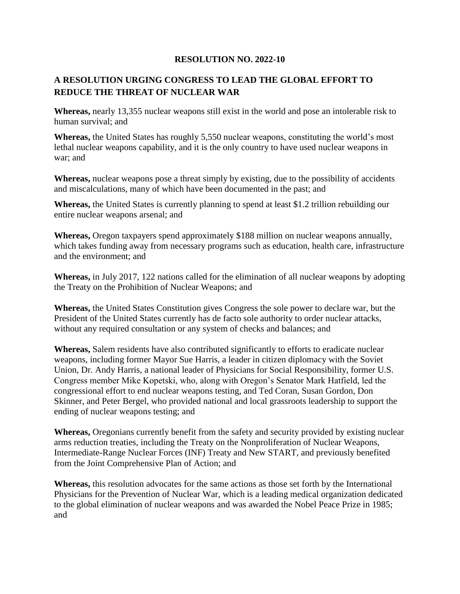## **RESOLUTION NO. 2022-10**

## **A RESOLUTION URGING CONGRESS TO LEAD THE GLOBAL EFFORT TO REDUCE THE THREAT OF NUCLEAR WAR**

**Whereas,** nearly 13,355 nuclear weapons still exist in the world and pose an intolerable risk to human survival; and

**Whereas,** the United States has roughly 5,550 nuclear weapons, constituting the world's most lethal nuclear weapons capability, and it is the only country to have used nuclear weapons in war; and

**Whereas,** nuclear weapons pose a threat simply by existing, due to the possibility of accidents and miscalculations, many of which have been documented in the past; and

**Whereas,** the United States is currently planning to spend at least \$1.2 trillion rebuilding our entire nuclear weapons arsenal; and

**Whereas,** Oregon taxpayers spend approximately \$188 million on nuclear weapons annually, which takes funding away from necessary programs such as education, health care, infrastructure and the environment; and

**Whereas,** in July 2017, 122 nations called for the elimination of all nuclear weapons by adopting the Treaty on the Prohibition of Nuclear Weapons; and

**Whereas,** the United States Constitution gives Congress the sole power to declare war, but the President of the United States currently has de facto sole authority to order nuclear attacks, without any required consultation or any system of checks and balances; and

**Whereas,** Salem residents have also contributed significantly to efforts to eradicate nuclear weapons, including former Mayor Sue Harris, a leader in citizen diplomacy with the Soviet Union, Dr. Andy Harris, a national leader of Physicians for Social Responsibility, former U.S. Congress member Mike Kopetski, who, along with Oregon's Senator Mark Hatfield, led the congressional effort to end nuclear weapons testing, and Ted Coran, Susan Gordon, Don Skinner, and Peter Bergel, who provided national and local grassroots leadership to support the ending of nuclear weapons testing; and

**Whereas,** Oregonians currently benefit from the safety and security provided by existing nuclear arms reduction treaties, including the Treaty on the Nonproliferation of Nuclear Weapons, Intermediate-Range Nuclear Forces (INF) Treaty and New START, and previously benefited from the Joint Comprehensive Plan of Action; and

**Whereas,** this resolution advocates for the same actions as those set forth by the International Physicians for the Prevention of Nuclear War, which is a leading medical organization dedicated to the global elimination of nuclear weapons and was awarded the Nobel Peace Prize in 1985; and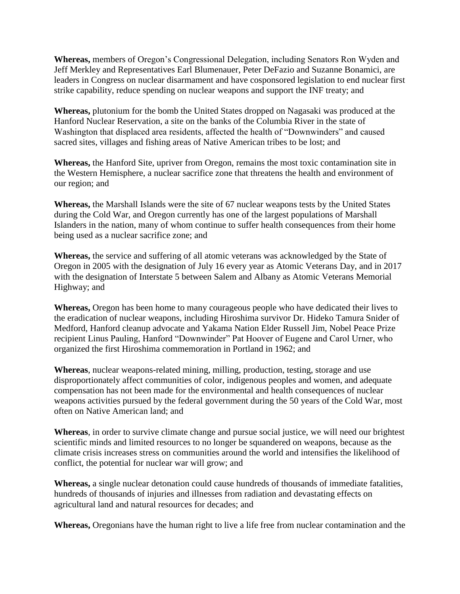**Whereas,** members of Oregon's Congressional Delegation, including Senators Ron Wyden and Jeff Merkley and Representatives Earl Blumenauer, Peter DeFazio and Suzanne Bonamici, are leaders in Congress on nuclear disarmament and have cosponsored legislation to end nuclear first strike capability, reduce spending on nuclear weapons and support the INF treaty; and

**Whereas,** plutonium for the bomb the United States dropped on Nagasaki was produced at the Hanford Nuclear Reservation, a site on the banks of the Columbia River in the state of Washington that displaced area residents, affected the health of "Downwinders" and caused sacred sites, villages and fishing areas of Native American tribes to be lost; and

**Whereas,** the Hanford Site, upriver from Oregon, remains the most toxic contamination site in the Western Hemisphere, a nuclear sacrifice zone that threatens the health and environment of our region; and

**Whereas,** the Marshall Islands were the site of 67 nuclear weapons tests by the United States during the Cold War, and Oregon currently has one of the largest populations of Marshall Islanders in the nation, many of whom continue to suffer health consequences from their home being used as a nuclear sacrifice zone; and

**Whereas,** the service and suffering of all atomic veterans was acknowledged by the State of Oregon in 2005 with the designation of July 16 every year as Atomic Veterans Day, and in 2017 with the designation of Interstate 5 between Salem and Albany as Atomic Veterans Memorial Highway; and

**Whereas,** Oregon has been home to many courageous people who have dedicated their lives to the eradication of nuclear weapons, including Hiroshima survivor Dr. Hideko Tamura Snider of Medford, Hanford cleanup advocate and Yakama Nation Elder Russell Jim, Nobel Peace Prize recipient Linus Pauling, Hanford "Downwinder" Pat Hoover of Eugene and Carol Urner, who organized the first Hiroshima commemoration in Portland in 1962; and

**Whereas**, nuclear weapons-related mining, milling, production, testing, storage and use disproportionately affect communities of color, indigenous peoples and women, and adequate compensation has not been made for the environmental and health consequences of nuclear weapons activities pursued by the federal government during the 50 years of the Cold War, most often on Native American land; and

**Whereas**, in order to survive climate change and pursue social justice, we will need our brightest scientific minds and limited resources to no longer be squandered on weapons, because as the climate crisis increases stress on communities around the world and intensifies the likelihood of conflict, the potential for nuclear war will grow; and

**Whereas,** a single nuclear detonation could cause hundreds of thousands of immediate fatalities, hundreds of thousands of injuries and illnesses from radiation and devastating effects on agricultural land and natural resources for decades; and

**Whereas,** Oregonians have the human right to live a life free from nuclear contamination and the